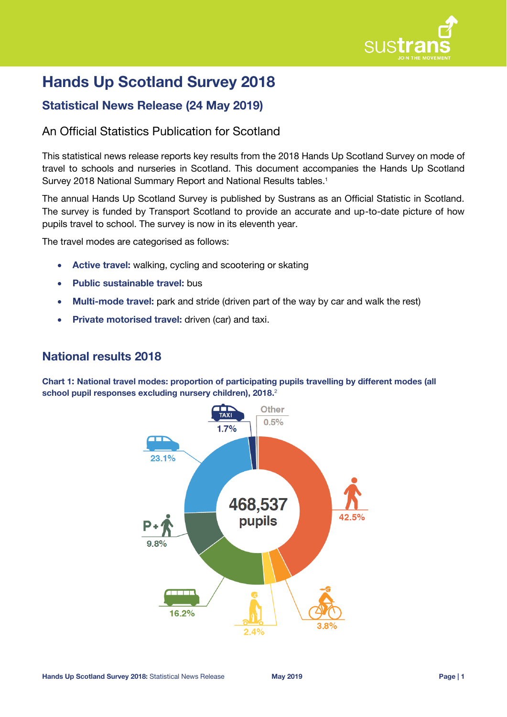

# **Hands Up Scotland Survey 2018**

# **Statistical News Release (24 May 2019)**

## An Official Statistics Publication for Scotland

This statistical news release reports key results from the 2018 Hands Up Scotland Survey on mode of travel to schools and nurseries in Scotland. This document accompanies the Hands Up Scotland Survey 2018 National Summary Report and National Results tables. 1

The annual Hands Up Scotland Survey is published by Sustrans as an Official Statistic in Scotland. The survey is funded by Transport Scotland to provide an accurate and up-to-date picture of how pupils travel to school. The survey is now in its eleventh year.

The travel modes are categorised as follows:

- **Active travel:** walking, cycling and scootering or skating
- **Public sustainable travel:** bus
- **Multi-mode travel:** park and stride (driven part of the way by car and walk the rest)
- **Private motorised travel:** driven (car) and taxi.

### **National results 2018**

**Chart 1: National travel modes: proportion of participating pupils travelling by different modes (all school pupil responses excluding nursery children), 2018.** 2

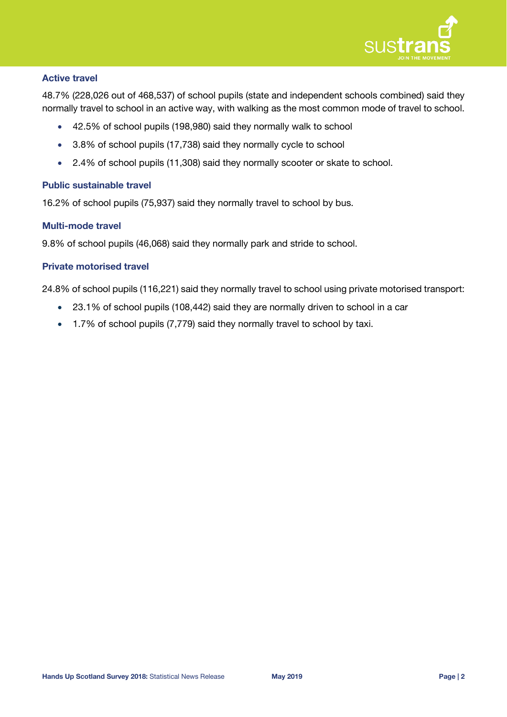

#### **Active travel**

48.7% (228,026 out of 468,537) of school pupils (state and independent schools combined) said they normally travel to school in an active way, with walking as the most common mode of travel to school.

- 42.5% of school pupils (198,980) said they normally walk to school
- 3.8% of school pupils (17,738) said they normally cycle to school
- 2.4% of school pupils (11,308) said they normally scooter or skate to school.

#### **Public sustainable travel**

16.2% of school pupils (75,937) said they normally travel to school by bus.

#### **Multi-mode travel**

9.8% of school pupils (46,068) said they normally park and stride to school.

#### **Private motorised travel**

24.8% of school pupils (116,221) said they normally travel to school using private motorised transport:

- 23.1% of school pupils (108,442) said they are normally driven to school in a car
- 1.7% of school pupils (7,779) said they normally travel to school by taxi.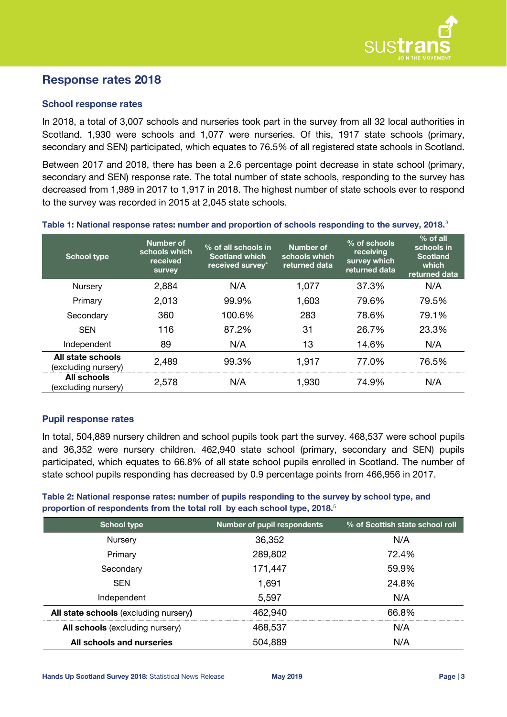

### **Response rates 2018**

#### **School response rates**

In 2018, a total of 3,007 schools and nurseries took part in the survey from all 32 local authorities in Scotland. 1,930 were schools and 1,077 were nurseries. Of this, 1917 state schools (primary, secondary and SEN) participated, which equates to 76.5% of all registered state schools in Scotland.

Between 2017 and 2018, there has been a 2.6 percentage point decrease in state school (primary, secondary and SEN) response rate. The total number of state schools, responding to the survey has decreased from 1,989 in 2017 to 1,917 in 2018. The highest number of state schools ever to respond to the survey was recorded in 2015 at 2,045 state schools.

| <b>School type</b>                       | Number of<br>schools which<br>received<br><b>survey</b> | % of all schools in<br><b>Scotland which</b><br>received survey <sup>4</sup> | <b>Number of</b><br>schools which<br>returned data | % of schools<br>receiving<br>survey which<br>returned data | $%$ of all<br>schools in<br><b>Scotland</b><br>which<br>returned data |
|------------------------------------------|---------------------------------------------------------|------------------------------------------------------------------------------|----------------------------------------------------|------------------------------------------------------------|-----------------------------------------------------------------------|
| Nursery                                  | 2,884                                                   | N/A                                                                          | 1,077                                              | 37.3%                                                      | N/A                                                                   |
| Primary                                  | 2,013                                                   | 99.9%                                                                        | 1,603                                              | 79.6%                                                      | 79.5%                                                                 |
| Secondary                                | 360                                                     | 100.6%                                                                       | 283                                                | 78.6%                                                      | 79.1%                                                                 |
| <b>SEN</b>                               | 116                                                     | 87.2%                                                                        | 31                                                 | 26.7%                                                      | 23.3%                                                                 |
| Independent                              | 89                                                      | N/A                                                                          | 13                                                 | 14.6%                                                      | N/A                                                                   |
| All state schools<br>(excluding nursery) | 2,489                                                   | 99.3%                                                                        | 1,917                                              | 77.0%                                                      | 76.5%                                                                 |
| All schools<br>(excluding nursery)       | 2,578                                                   | N/A                                                                          | 1,930                                              | 74.9%                                                      | N/A                                                                   |

#### **Table 1: National response rates: number and proportion of schools responding to the survey, 2018.**<sup>3</sup>

#### **Pupil response rates**

In total, 504,889 nursery children and school pupils took part the survey. 468,537 were school pupils and 36,352 were nursery children. 462,940 state school (primary, secondary and SEN) pupils participated, which equates to 66.8% of all state school pupils enrolled in Scotland. The number of state school pupils responding has decreased by 0.9 percentage points from 466,956 in 2017.

#### **Table 2: National response rates: number of pupils responding to the survey by school type, and proportion of respondents from the total roll by each school type, 2018.**<sup>5</sup>

| <b>School type</b>                    | <b>Number of pupil respondents</b> | % of Scottish state school roll |  |
|---------------------------------------|------------------------------------|---------------------------------|--|
| Nursery                               | 36,352                             | N/A                             |  |
| Primary                               | 289,802                            | 72.4%                           |  |
| Secondary                             | 171,447                            | 59.9%                           |  |
| <b>SEN</b>                            | 1,691                              | 24.8%                           |  |
| Independent                           | 5,597                              | N/A                             |  |
| All state schools (excluding nursery) | 462,940                            | 66.8%                           |  |
| All schools (excluding nursery)       | 468,537                            | N/A                             |  |
| All schools and nurseries             | 504,889                            | N/A                             |  |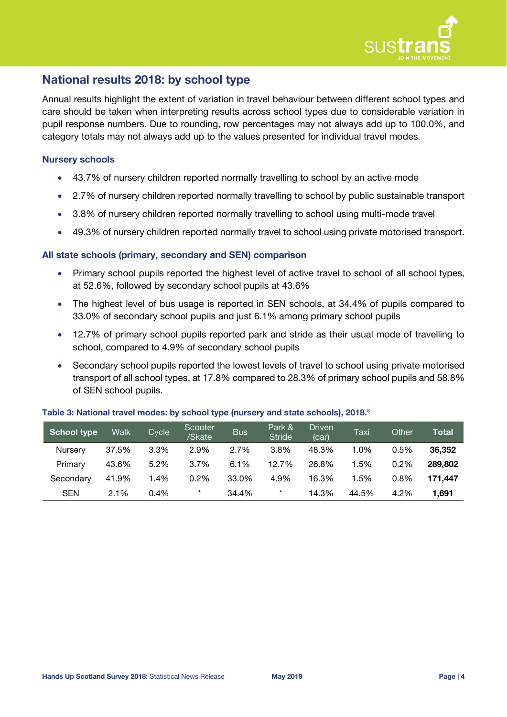

# **National results 2018: by school type**

Annual results highlight the extent of variation in travel behaviour between different school types and care should be taken when interpreting results across school types due to considerable variation in pupil response numbers. Due to rounding, row percentages may not always add up to 100.0%, and category totals may not always add up to the values presented for individual travel modes.

#### **Nursery schools**

- 43.7% of nursery children reported normally travelling to school by an active mode
- 2.7% of nursery children reported normally travelling to school by public sustainable transport
- 3.8% of nursery children reported normally travelling to school using multi-mode travel
- 49.3% of nursery children reported normally travel to school using private motorised transport.

#### **All state schools (primary, secondary and SEN) comparison**

- Primary school pupils reported the highest level of active travel to school of all school types, at 52.6%, followed by secondary school pupils at 43.6%
- The highest level of bus usage is reported in SEN schools, at 34.4% of pupils compared to 33.0% of secondary school pupils and just 6.1% among primary school pupils
- 12.7% of primary school pupils reported park and stride as their usual mode of travelling to school, compared to 4.9% of secondary school pupils
- <span id="page-3-0"></span> Secondary school pupils reported the lowest levels of travel to school using private motorised transport of all school types, at 17.8% compared to 28.3% of primary school pupils and 58.8% of SEN school pupils.

| School type | <b>Walk</b> | Cycle | Scooter<br>/Skate | <b>Bus</b> | Park &<br><b>Stride</b> | <b>Driven</b><br>(car) | Taxi  | Other | Total   |
|-------------|-------------|-------|-------------------|------------|-------------------------|------------------------|-------|-------|---------|
| Nurserv     | 37.5%       | 3.3%  | 2.9%              | 2.7%       | 3.8%                    | 48.3%                  | 1.0%  | 0.5%  | 36,352  |
| Primary     | 43.6%       | 5.2%  | 3.7%              | 6.1%       | 12.7%                   | 26.8%                  | 1.5%  | 0.2%  | 289,802 |
| Secondary   | 41.9%       | 1.4%  | 0.2%              | 33.0%      | 4.9%                    | 16.3%                  | 1.5%  | 0.8%  | 171.447 |
| <b>SEN</b>  | 2.1%        | 0.4%  | $\star$           | 34.4%      | $\star$                 | 14.3%                  | 44.5% | 4.2%  | 1.691   |

#### **Table 3: National travel modes: by school type (nursery and state schools), 2018.** 6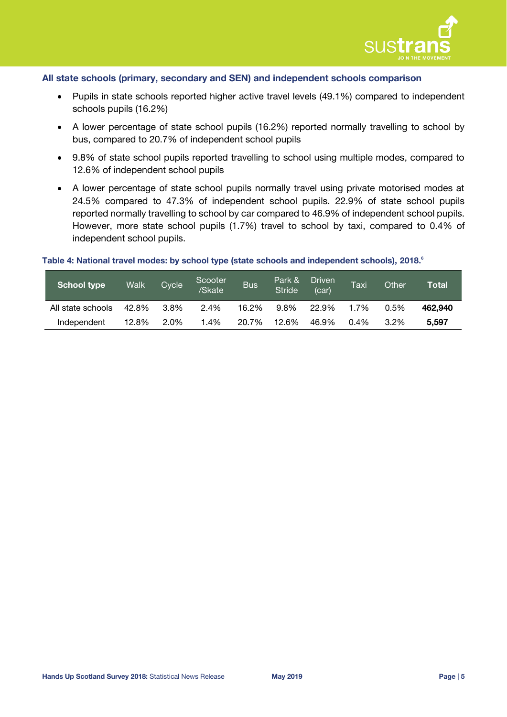

#### **All state schools (primary, secondary and SEN) and independent schools comparison**

- Pupils in state schools reported higher active travel levels (49.1%) compared to independent schools pupils (16.2%)
- A lower percentage of state school pupils (16.2%) reported normally travelling to school by bus, compared to 20.7% of independent school pupils
- 9.8% of state school pupils reported travelling to school using multiple modes, compared to 12.6% of independent school pupils
- A lower percentage of state school pupils normally travel using private motorised modes at 24.5% compared to 47.3% of independent school pupils. 22.9% of state school pupils reported normally travelling to school by car compared to 46.9% of independent school pupils. However, more state school pupils (1.7%) travel to school by taxi, compared to 0.4% of independent school pupils.

#### **Table 4: National travel modes: by school type (state schools and independent schools), 2018[.](#page-3-0) 6**

| <b>School type</b> | <b>Walk</b> | Cycle <sup>1</sup> | Scooter<br>/Skate | <b>Bus</b> | Park &<br><b>Stride</b> | <b>Driven</b><br>(car) | Taxi    | Other   | Total   |
|--------------------|-------------|--------------------|-------------------|------------|-------------------------|------------------------|---------|---------|---------|
| All state schools  | 42.8%       | 3.8%               | 2.4%              | 16.2%      | 9.8%                    | 22.9%                  | 1.7%    | 0.5%    | 462.940 |
| Independent        | 12.8%       | 2.0%               | 1.4%              | 20.7%      | 12.6%                   | 46.9%                  | $0.4\%$ | $3.2\%$ | 5.597   |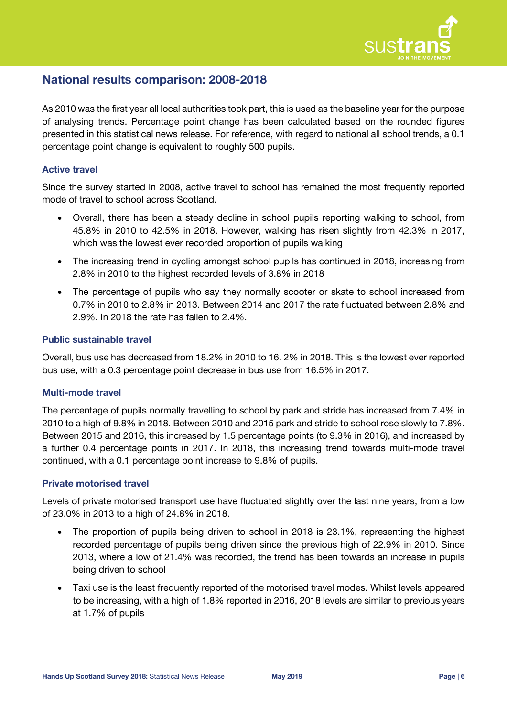

## **National results comparison: 2008-2018**

As 2010 was the first year all local authorities took part, this is used as the baseline year for the purpose of analysing trends. Percentage point change has been calculated based on the rounded figures presented in this statistical news release. For reference, with regard to national all school trends, a 0.1 percentage point change is equivalent to roughly 500 pupils.

#### **Active travel**

Since the survey started in 2008, active travel to school has remained the most frequently reported mode of travel to school across Scotland.

- Overall, there has been a steady decline in school pupils reporting walking to school, from 45.8% in 2010 to 42.5% in 2018. However, walking has risen slightly from 42.3% in 2017, which was the lowest ever recorded proportion of pupils walking
- The increasing trend in cycling amongst school pupils has continued in 2018, increasing from 2.8% in 2010 to the highest recorded levels of 3.8% in 2018
- The percentage of pupils who say they normally scooter or skate to school increased from 0.7% in 2010 to 2.8% in 2013. Between 2014 and 2017 the rate fluctuated between 2.8% and 2.9%. In 2018 the rate has fallen to 2.4%.

#### **Public sustainable travel**

Overall, bus use has decreased from 18.2% in 2010 to 16. 2% in 2018. This is the lowest ever reported bus use, with a 0.3 percentage point decrease in bus use from 16.5% in 2017.

#### **Multi-mode travel**

The percentage of pupils normally travelling to school by park and stride has increased from 7.4% in 2010 to a high of 9.8% in 2018. Between 2010 and 2015 park and stride to school rose slowly to 7.8%. Between 2015 and 2016, this increased by 1.5 percentage points (to 9.3% in 2016), and increased by a further 0.4 percentage points in 2017. In 2018, this increasing trend towards multi-mode travel continued, with a 0.1 percentage point increase to 9.8% of pupils.

#### **Private motorised travel**

Levels of private motorised transport use have fluctuated slightly over the last nine years, from a low of 23.0% in 2013 to a high of 24.8% in 2018.

- The proportion of pupils being driven to school in 2018 is 23.1%, representing the highest recorded percentage of pupils being driven since the previous high of 22.9% in 2010. Since 2013, where a low of 21.4% was recorded, the trend has been towards an increase in pupils being driven to school
- Taxi use is the least frequently reported of the motorised travel modes. Whilst levels appeared to be increasing, with a high of 1.8% reported in 2016, 2018 levels are similar to previous years at 1.7% of pupils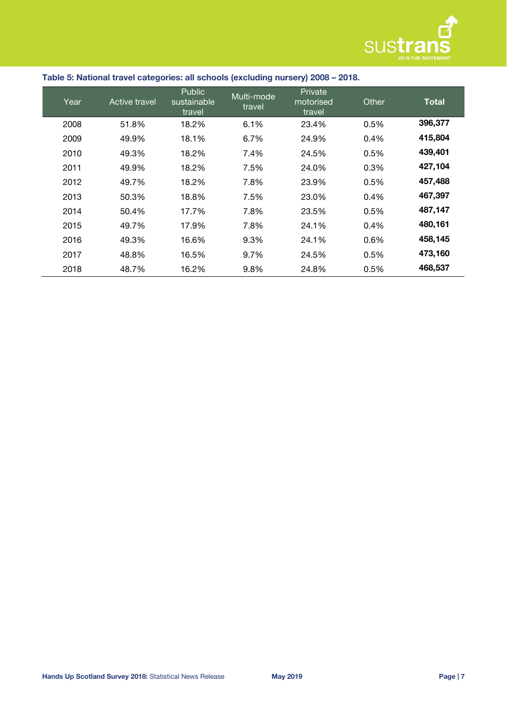

| Table 5: National travel categories: all schools (excluding nursery) 2008 - 2018. |  |  |
|-----------------------------------------------------------------------------------|--|--|
|                                                                                   |  |  |

| Year | Active travel | <b>Public</b><br>sustainable<br>travel | Multi-mode<br>travel | Private<br>motorised<br>travel | Other | <b>Total</b> |
|------|---------------|----------------------------------------|----------------------|--------------------------------|-------|--------------|
| 2008 | 51.8%         | 18.2%                                  | 6.1%                 | 23.4%                          | 0.5%  | 396,377      |
| 2009 | 49.9%         | 18.1%                                  | 6.7%                 | 24.9%                          | 0.4%  | 415,804      |
| 2010 | 49.3%         | 18.2%                                  | 7.4%                 | 24.5%                          | 0.5%  | 439,401      |
| 2011 | 49.9%         | 18.2%                                  | 7.5%                 | 24.0%                          | 0.3%  | 427,104      |
| 2012 | 49.7%         | 18.2%                                  | 7.8%                 | 23.9%                          | 0.5%  | 457,488      |
| 2013 | 50.3%         | 18.8%                                  | 7.5%                 | 23.0%                          | 0.4%  | 467,397      |
| 2014 | 50.4%         | 17.7%                                  | 7.8%                 | 23.5%                          | 0.5%  | 487,147      |
| 2015 | 49.7%         | 17.9%                                  | 7.8%                 | 24.1%                          | 0.4%  | 480,161      |
| 2016 | 49.3%         | 16.6%                                  | 9.3%                 | 24.1%                          | 0.6%  | 458,145      |
| 2017 | 48.8%         | 16.5%                                  | 9.7%                 | 24.5%                          | 0.5%  | 473,160      |
| 2018 | 48.7%         | 16.2%                                  | 9.8%                 | 24.8%                          | 0.5%  | 468,537      |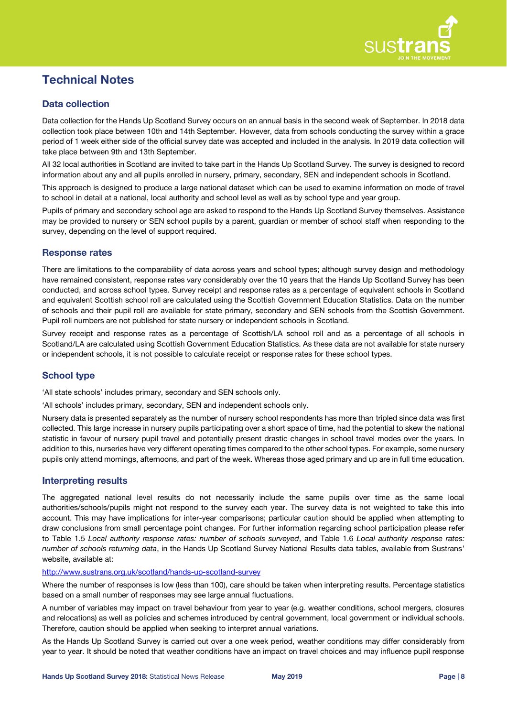

# **Technical Notes**

#### **Data collection**

Data collection for the Hands Up Scotland Survey occurs on an annual basis in the second week of September. In 2018 data collection took place between 10th and 14th September. However, data from schools conducting the survey within a grace period of 1 week either side of the official survey date was accepted and included in the analysis. In 2019 data collection will take place between 9th and 13th September.

All 32 local authorities in Scotland are invited to take part in the Hands Up Scotland Survey. The survey is designed to record information about any and all pupils enrolled in nursery, primary, secondary, SEN and independent schools in Scotland.

This approach is designed to produce a large national dataset which can be used to examine information on mode of travel to school in detail at a national, local authority and school level as well as by school type and year group.

Pupils of primary and secondary school age are asked to respond to the Hands Up Scotland Survey themselves. Assistance may be provided to nursery or SEN school pupils by a parent, guardian or member of school staff when responding to the survey, depending on the level of support required.

#### **Response rates**

There are limitations to the comparability of data across years and school types; although survey design and methodology have remained consistent, response rates vary considerably over the 10 years that the Hands Up Scotland Survey has been conducted, and across school types. Survey receipt and response rates as a percentage of equivalent schools in Scotland and equivalent Scottish school roll are calculated using the Scottish Government Education Statistics. Data on the number of schools and their pupil roll are available for state primary, secondary and SEN schools from the Scottish Government. Pupil roll numbers are not published for state nursery or independent schools in Scotland.

Survey receipt and response rates as a percentage of Scottish/LA school roll and as a percentage of all schools in Scotland/LA are calculated using Scottish Government Education Statistics. As these data are not available for state nursery or independent schools, it is not possible to calculate receipt or response rates for these school types.

#### **School type**

'All state schools' includes primary, secondary and SEN schools only.

'All schools' includes primary, secondary, SEN and independent schools only.

Nursery data is presented separately as the number of nursery school respondents has more than tripled since data was first collected. This large increase in nursery pupils participating over a short space of time, had the potential to skew the national statistic in favour of nursery pupil travel and potentially present drastic changes in school travel modes over the years. In addition to this, nurseries have very different operating times compared to the other school types. For example, some nursery pupils only attend mornings, afternoons, and part of the week. Whereas those aged primary and up are in full time education.

#### **Interpreting results**

The aggregated national level results do not necessarily include the same pupils over time as the same local authorities/schools/pupils might not respond to the survey each year. The survey data is not weighted to take this into account. This may have implications for inter-year comparisons; particular caution should be applied when attempting to draw conclusions from small percentage point changes. For further information regarding school participation please refer to Table 1.5 *Local authority response rates: number of schools surveyed*, and Table 1.6 *Local authority response rates: number of schools returning data*, in the Hands Up Scotland Survey National Results data tables, available from Sustrans' website, available at:

<http://www.sustrans.org.uk/scotland/hands-up-scotland-survey>

Where the number of responses is low (less than 100), care should be taken when interpreting results. Percentage statistics based on a small number of responses may see large annual fluctuations.

A number of variables may impact on travel behaviour from year to year (e.g. weather conditions, school mergers, closures and relocations) as well as policies and schemes introduced by central government, local government or individual schools. Therefore, caution should be applied when seeking to interpret annual variations.

As the Hands Up Scotland Survey is carried out over a one week period, weather conditions may differ considerably from year to year. It should be noted that weather conditions have an impact on travel choices and may influence pupil response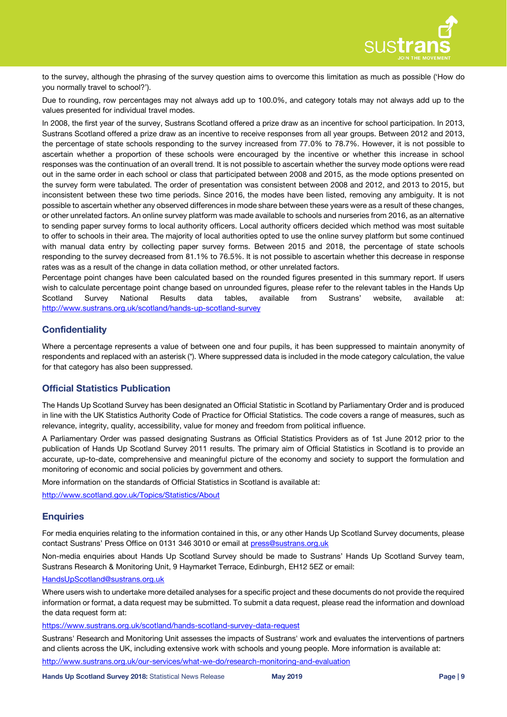

to the survey, although the phrasing of the survey question aims to overcome this limitation as much as possible ('How do you normally travel to school?').

Due to rounding, row percentages may not always add up to 100.0%, and category totals may not always add up to the values presented for individual travel modes.

In 2008, the first year of the survey, Sustrans Scotland offered a prize draw as an incentive for school participation. In 2013, Sustrans Scotland offered a prize draw as an incentive to receive responses from all year groups. Between 2012 and 2013, the percentage of state schools responding to the survey increased from 77.0% to 78.7%. However, it is not possible to ascertain whether a proportion of these schools were encouraged by the incentive or whether this increase in school responses was the continuation of an overall trend. It is not possible to ascertain whether the survey mode options were read out in the same order in each school or class that participated between 2008 and 2015, as the mode options presented on the survey form were tabulated. The order of presentation was consistent between 2008 and 2012, and 2013 to 2015, but inconsistent between these two time periods. Since 2016, the modes have been listed, removing any ambiguity. It is not possible to ascertain whether any observed differences in mode share between these years were as a result of these changes, or other unrelated factors. An online survey platform was made available to schools and nurseries from 2016, as an alternative to sending paper survey forms to local authority officers. Local authority officers decided which method was most suitable to offer to schools in their area. The majority of local authorities opted to use the online survey platform but some continued with manual data entry by collecting paper survey forms. Between 2015 and 2018, the percentage of state schools responding to the survey decreased from 81.1% to 76.5%. It is not possible to ascertain whether this decrease in response rates was as a result of the change in data collation method, or other unrelated factors.

Percentage point changes have been calculated based on the rounded figures presented in this summary report. If users wish to calculate percentage point change based on unrounded figures, please refer to the relevant tables in the Hands Up Scotland Survey National Results data tables, available from Sustrans' website, available at: <http://www.sustrans.org.uk/scotland/hands-up-scotland-survey>

#### **Confidentiality**

Where a percentage represents a value of between one and four pupils, it has been suppressed to maintain anonymity of respondents and replaced with an asterisk (\*). Where suppressed data is included in the mode category calculation, the value for that category has also been suppressed.

#### **Official Statistics Publication**

The Hands Up Scotland Survey has been designated an Official Statistic in Scotland by Parliamentary Order and is produced in line with the UK Statistics Authority Code of Practice for Official Statistics. The code covers a range of measures, such as relevance, integrity, quality, accessibility, value for money and freedom from political influence.

A Parliamentary Order was passed designating Sustrans as Official Statistics Providers as of 1st June 2012 prior to the publication of Hands Up Scotland Survey 2011 results. The primary aim of Official Statistics in Scotland is to provide an accurate, up-to-date, comprehensive and meaningful picture of the economy and society to support the formulation and monitoring of economic and social policies by government and others.

More information on the standards of Official Statistics in Scotland is available at:

<http://www.scotland.gov.uk/Topics/Statistics/About>

#### **Enquiries**

For media enquiries relating to the information contained in this, or any other Hands Up Scotland Survey documents, please contact Sustrans' Press Office on 0131 346 3010 or email at [press@sustrans.org.uk](mailto:press@sustrans.org.uk?subject=HUSS%202017%20enquiry,%20C/O%20Charlotte%20Otter)

Non-media enquiries about Hands Up Scotland Survey should be made to Sustrans' Hands Up Scotland Survey team, Sustrans Research & Monitoring Unit, 9 Haymarket Terrace, Edinburgh, EH12 5EZ or email:

#### [HandsUpScotland@sustrans.org.uk](mailto:HandsUpScotland@sustrans.org.uk?subject=HUSS%202017%20enquiry)

Where users wish to undertake more detailed analyses for a specific project and these documents do not provide the required information or format, a data request may be submitted. To submit a data request, please read the information and download the data request form at:

<https://www.sustrans.org.uk/scotland/hands-scotland-survey-data-request>

Sustrans' Research and Monitoring Unit assesses the impacts of Sustrans' work and evaluates the interventions of partners and clients across the UK, including extensive work with schools and young people. More information is available at:

<http://www.sustrans.org.uk/our-services/what-we-do/research-monitoring-and-evaluation>